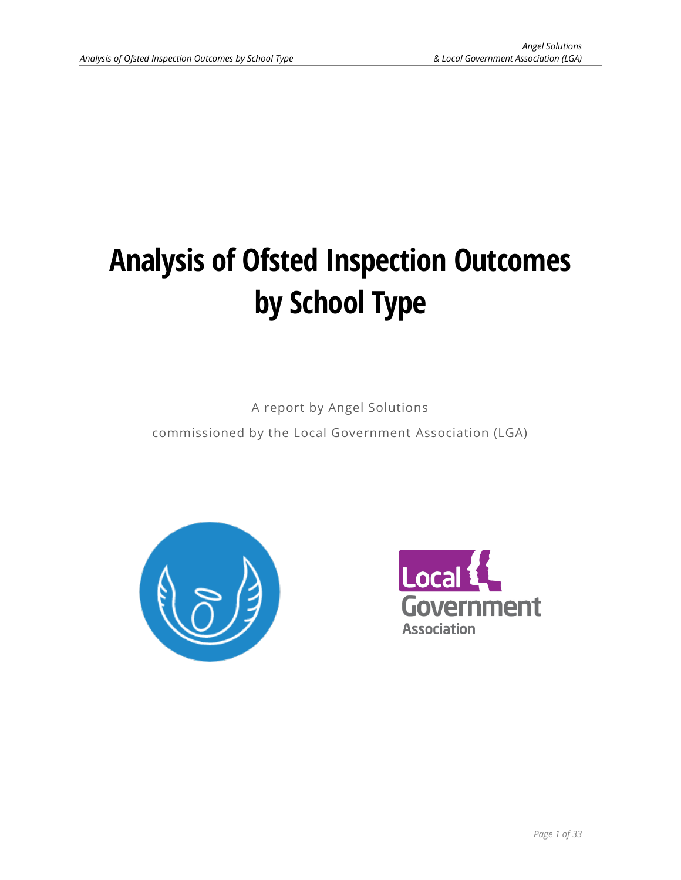# **Analysis of Ofsted Inspection Outcomes by School Type**

A report by Angel Solutions

commissioned by the Local Government Association (LGA)



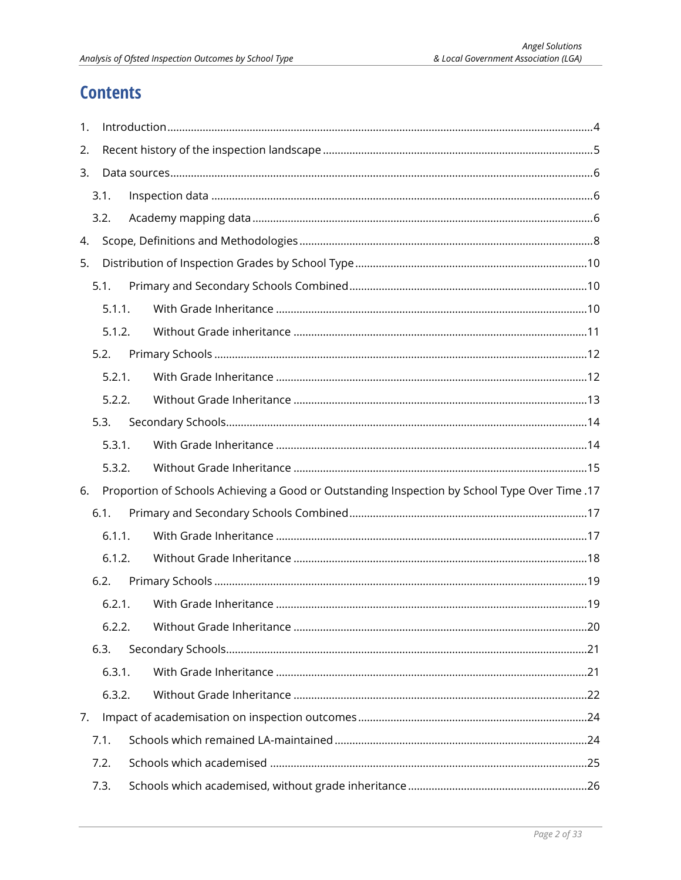# **Contents**

| 1. |        |  |                                                                                               |  |  |  |  |  |
|----|--------|--|-----------------------------------------------------------------------------------------------|--|--|--|--|--|
| 2. |        |  |                                                                                               |  |  |  |  |  |
| 3. |        |  |                                                                                               |  |  |  |  |  |
|    | 3.1.   |  |                                                                                               |  |  |  |  |  |
|    | 3.2.   |  |                                                                                               |  |  |  |  |  |
| 4. |        |  |                                                                                               |  |  |  |  |  |
| 5. |        |  |                                                                                               |  |  |  |  |  |
|    | 5.1.   |  |                                                                                               |  |  |  |  |  |
|    | 5.1.1. |  |                                                                                               |  |  |  |  |  |
|    | 5.1.2. |  |                                                                                               |  |  |  |  |  |
|    | 5.2.   |  |                                                                                               |  |  |  |  |  |
|    | 5.2.1. |  |                                                                                               |  |  |  |  |  |
|    | 5.2.2. |  |                                                                                               |  |  |  |  |  |
|    | 5.3.   |  |                                                                                               |  |  |  |  |  |
|    | 5.3.1. |  |                                                                                               |  |  |  |  |  |
|    | 5.3.2. |  |                                                                                               |  |  |  |  |  |
| 6. |        |  | 17. Proportion of Schools Achieving a Good or Outstanding Inspection by School Type Over Time |  |  |  |  |  |
|    | 6.1.   |  |                                                                                               |  |  |  |  |  |
|    | 6.1.1. |  |                                                                                               |  |  |  |  |  |
|    | 6.1.2. |  |                                                                                               |  |  |  |  |  |
|    | 6.2.   |  |                                                                                               |  |  |  |  |  |
|    | 6.2.1. |  |                                                                                               |  |  |  |  |  |
|    | 6.2.2. |  |                                                                                               |  |  |  |  |  |
|    | 6.3.   |  |                                                                                               |  |  |  |  |  |
|    | 6.3.1. |  |                                                                                               |  |  |  |  |  |
|    | 6.3.2. |  |                                                                                               |  |  |  |  |  |
| 7. |        |  |                                                                                               |  |  |  |  |  |
|    | 7.1.   |  |                                                                                               |  |  |  |  |  |
|    | 7.2.   |  |                                                                                               |  |  |  |  |  |
|    | 7.3.   |  |                                                                                               |  |  |  |  |  |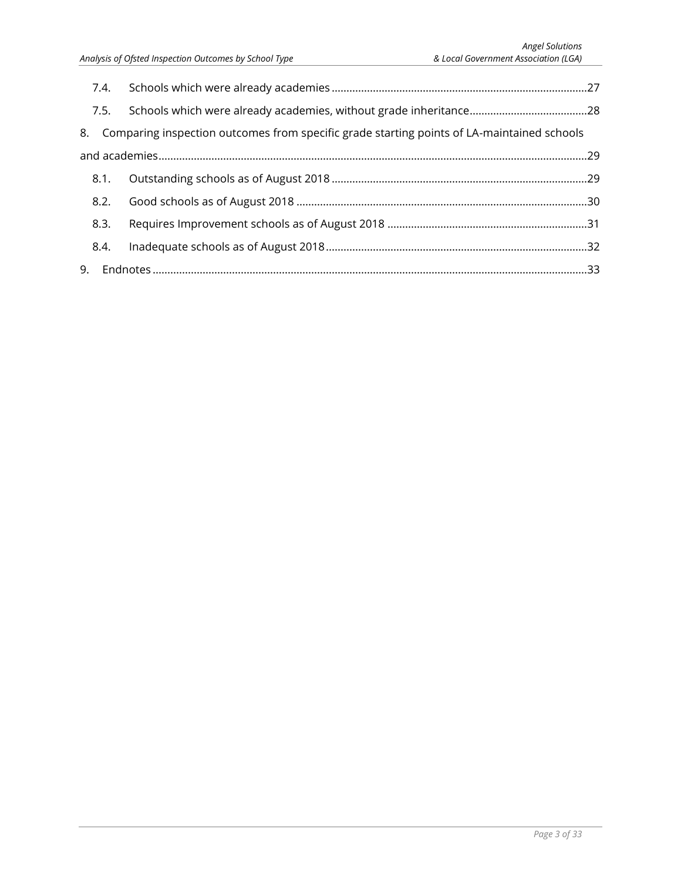| 7.4. |                                                                                               |  |
|------|-----------------------------------------------------------------------------------------------|--|
| 7.5. |                                                                                               |  |
|      | 8. Comparing inspection outcomes from specific grade starting points of LA-maintained schools |  |
|      |                                                                                               |  |
| 8.1. |                                                                                               |  |
| 8.2. |                                                                                               |  |
| 8.3. |                                                                                               |  |
| 8.4. |                                                                                               |  |
|      |                                                                                               |  |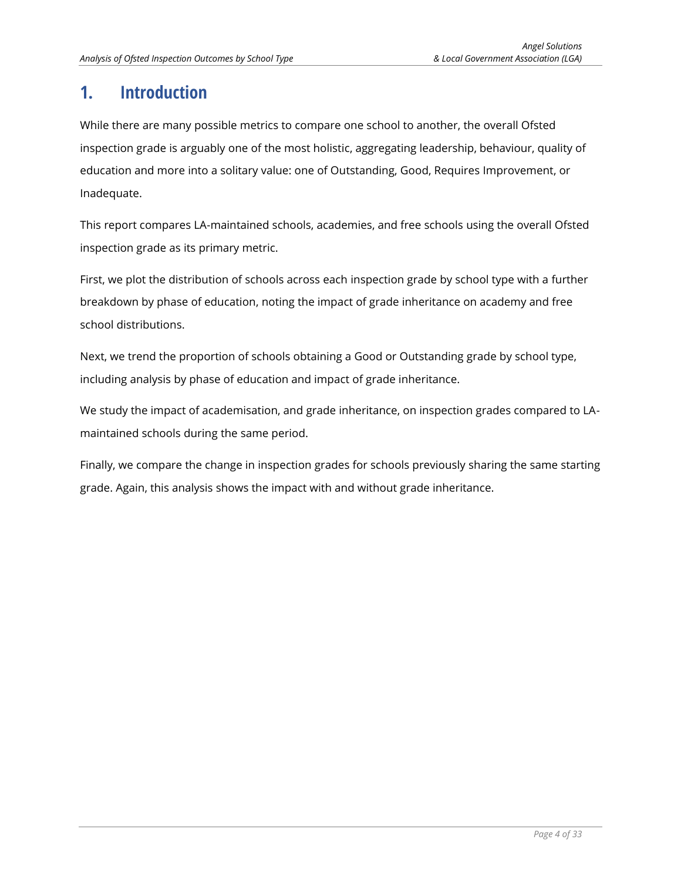# <span id="page-3-0"></span>**1. Introduction**

While there are many possible metrics to compare one school to another, the overall Ofsted inspection grade is arguably one of the most holistic, aggregating leadership, behaviour, quality of education and more into a solitary value: one of Outstanding, Good, Requires Improvement, or Inadequate.

This report compares LA-maintained schools, academies, and free schools using the overall Ofsted inspection grade as its primary metric.

First, we plot the distribution of schools across each inspection grade by school type with a further breakdown by phase of education, noting the impact of grade inheritance on academy and free school distributions.

Next, we trend the proportion of schools obtaining a Good or Outstanding grade by school type, including analysis by phase of education and impact of grade inheritance.

We study the impact of academisation, and grade inheritance, on inspection grades compared to LAmaintained schools during the same period.

Finally, we compare the change in inspection grades for schools previously sharing the same starting grade. Again, this analysis shows the impact with and without grade inheritance.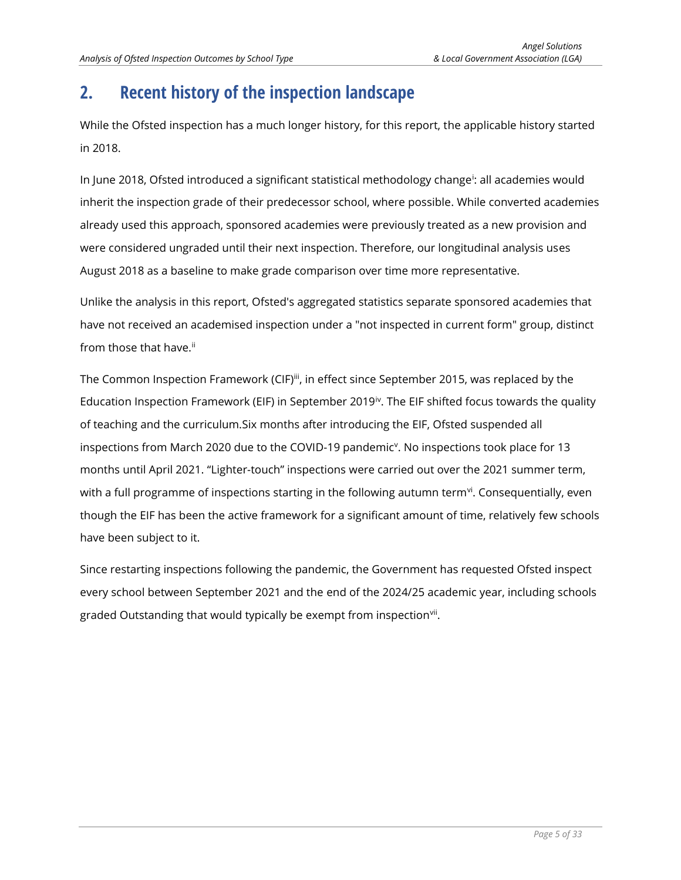# <span id="page-4-0"></span>**2. Recent history of the inspection landscape**

While the Ofsted inspection has a much longer history, for this report, the applicable history started in 2018.

In June 2018, Ofsted introduced a significant statistical methodology change<sup>i</sup> : all academies would inherit the inspection grade of their predecessor school, where possible. While converted academies already used this approach, sponsored academies were previously treated as a new provision and were considered ungraded until their next inspection. Therefore, our longitudinal analysis uses August 2018 as a baseline to make grade comparison over time more representative.

Unlike the analysis in this report, Ofsted's aggregated statistics separate sponsored academies that have not received an academised inspection under a "not inspected in current form" group, distinct from those that have.<sup>ii</sup>

The Common Inspection Framework (CIF)<sup>iii</sup>, in effect since September 2015, was replaced by the Education Inspection Framework (EIF) in September 2019<sup>iv</sup>. The EIF shifted focus towards the quality of teaching and the curriculum.Six months after introducing the EIF, Ofsted suspended all inspections from March 2020 due to the COVID-19 pandemic<sup>v</sup>. No inspections took place for 13 months until April 2021. "Lighter-touch" inspections were carried out over the 2021 summer term, with a full programme of inspections starting in the following autumn term $\rm{^{\textrm{vi}}}$ . Consequentially, even though the EIF has been the active framework for a significant amount of time, relatively few schools have been subject to it.

Since restarting inspections following the pandemic, the Government has requested Ofsted inspect every school between September 2021 and the end of the 2024/25 academic year, including schools graded Outstanding that would typically be exempt from inspection<sup>vii</sup>.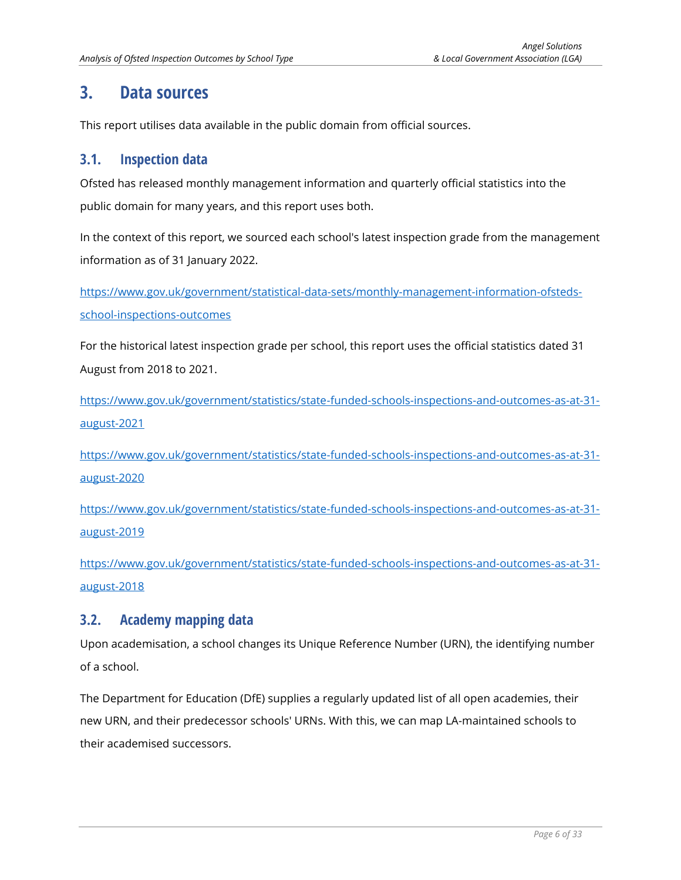# <span id="page-5-0"></span>**3. Data sources**

This report utilises data available in the public domain from official sources.

#### <span id="page-5-1"></span>**3.1. Inspection data**

Ofsted has released monthly management information and quarterly official statistics into the public domain for many years, and this report uses both.

In the context of this report, we sourced each school's latest inspection grade from the management information as of 31 January 2022.

[https://www.gov.uk/government/statistical-data-sets/monthly-management-information-ofsteds](https://www.gov.uk/government/statistical-data-sets/monthly-management-information-ofsteds-school-inspections-outcomes)[school-inspections-outcomes](https://www.gov.uk/government/statistical-data-sets/monthly-management-information-ofsteds-school-inspections-outcomes)

For the historical latest inspection grade per school, this report uses the official statistics dated 31 August from 2018 to 2021.

[https://www.gov.uk/government/statistics/state-funded-schools-inspections-and-outcomes-as-at-31](https://www.gov.uk/government/statistics/state-funded-schools-inspections-and-outcomes-as-at-31-august-2021) [august-2021](https://www.gov.uk/government/statistics/state-funded-schools-inspections-and-outcomes-as-at-31-august-2021)

[https://www.gov.uk/government/statistics/state-funded-schools-inspections-and-outcomes-as-at-31](https://www.gov.uk/government/statistics/state-funded-schools-inspections-and-outcomes-as-at-31-august-2020) [august-2020](https://www.gov.uk/government/statistics/state-funded-schools-inspections-and-outcomes-as-at-31-august-2020)

[https://www.gov.uk/government/statistics/state-funded-schools-inspections-and-outcomes-as-at-31](https://www.gov.uk/government/statistics/state-funded-schools-inspections-and-outcomes-as-at-31-august-2019) [august-2019](https://www.gov.uk/government/statistics/state-funded-schools-inspections-and-outcomes-as-at-31-august-2019)

[https://www.gov.uk/government/statistics/state-funded-schools-inspections-and-outcomes-as-at-31](https://www.gov.uk/government/statistics/state-funded-schools-inspections-and-outcomes-as-at-31-august-2018) [august-2018](https://www.gov.uk/government/statistics/state-funded-schools-inspections-and-outcomes-as-at-31-august-2018)

## <span id="page-5-2"></span>**3.2. Academy mapping data**

Upon academisation, a school changes its Unique Reference Number (URN), the identifying number of a school.

The Department for Education (DfE) supplies a regularly updated list of all open academies, their new URN, and their predecessor schools' URNs. With this, we can map LA-maintained schools to their academised successors.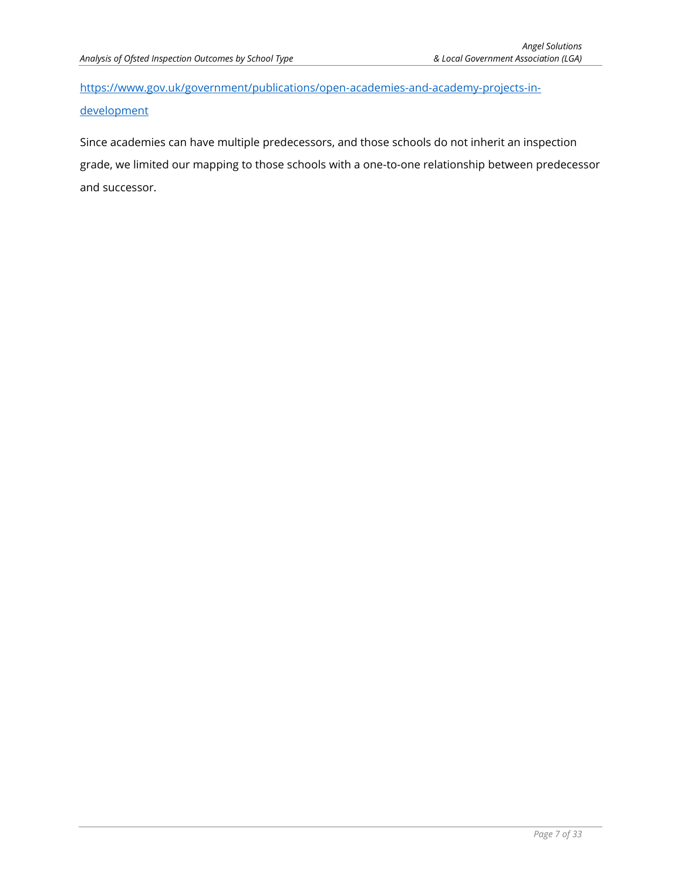[https://www.gov.uk/government/publications/open-academies-and-academy-projects-in](https://www.gov.uk/government/publications/open-academies-and-academy-projects-in-development)[development](https://www.gov.uk/government/publications/open-academies-and-academy-projects-in-development)

Since academies can have multiple predecessors, and those schools do not inherit an inspection grade, we limited our mapping to those schools with a one-to-one relationship between predecessor and successor.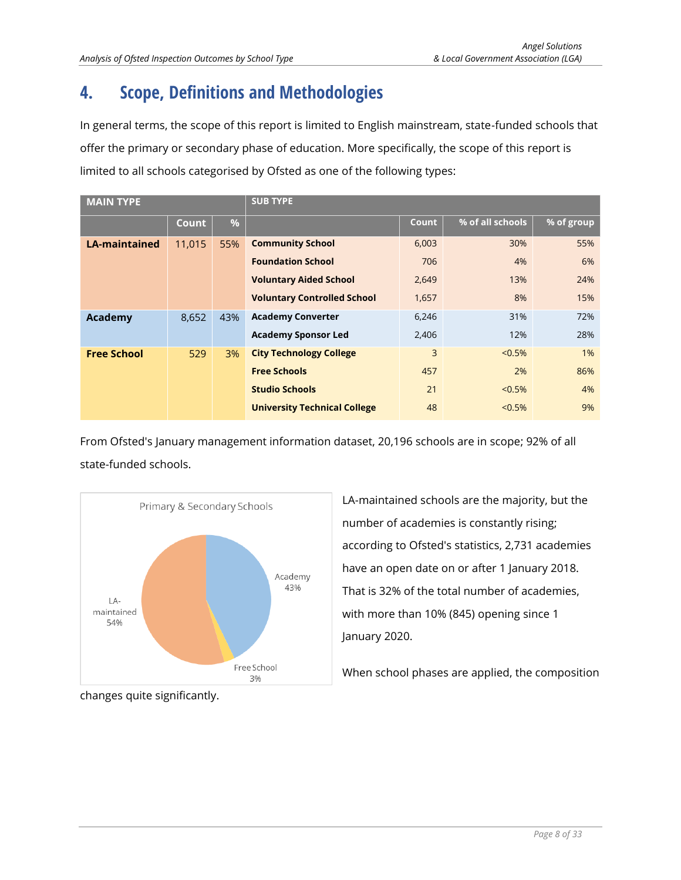# <span id="page-7-0"></span>**4. Scope, Definitions and Methodologies**

In general terms, the scope of this report is limited to English mainstream, state-funded schools that offer the primary or secondary phase of education. More specifically, the scope of this report is limited to all schools categorised by Ofsted as one of the following types:

| <b>MAIN TYPE</b>     |              |               | <b>SUB TYPE</b>                     |       |                    |            |  |
|----------------------|--------------|---------------|-------------------------------------|-------|--------------------|------------|--|
|                      | <b>Count</b> | $\frac{9}{6}$ |                                     | Count | $%$ of all schools | % of group |  |
| <b>LA-maintained</b> | 11,015       | 55%           | <b>Community School</b>             | 6,003 | 30%                | 55%        |  |
|                      |              |               | <b>Foundation School</b>            | 706   | 4%                 | 6%         |  |
|                      |              |               | <b>Voluntary Aided School</b>       | 2,649 | 13%                | 24%        |  |
|                      |              |               | <b>Voluntary Controlled School</b>  | 1,657 | 8%                 | 15%        |  |
| Academy              | 8,652        | 43%           | <b>Academy Converter</b>            | 6,246 | 31%                | 72%        |  |
|                      |              |               | <b>Academy Sponsor Led</b>          | 2,406 | 12%                | 28%        |  |
| <b>Free School</b>   | 529          | 3%            | <b>City Technology College</b>      | 3     | $< 0.5\%$          | 1%         |  |
|                      |              |               | <b>Free Schools</b>                 | 457   | 2%                 | 86%        |  |
|                      |              |               | <b>Studio Schools</b>               | 21    | $< 0.5\%$          | 4%         |  |
|                      |              |               | <b>University Technical College</b> | 48    | $< 0.5\%$          | 9%         |  |

From Ofsted's January management information dataset, 20,196 schools are in scope; 92% of all state-funded schools.



LA-maintained schools are the majority, but the number of academies is constantly rising; according to Ofsted's statistics, 2,731 academies have an open date on or after 1 January 2018. That is 32% of the total number of academies, with more than 10% (845) opening since 1 January 2020.

When school phases are applied, the composition

changes quite significantly.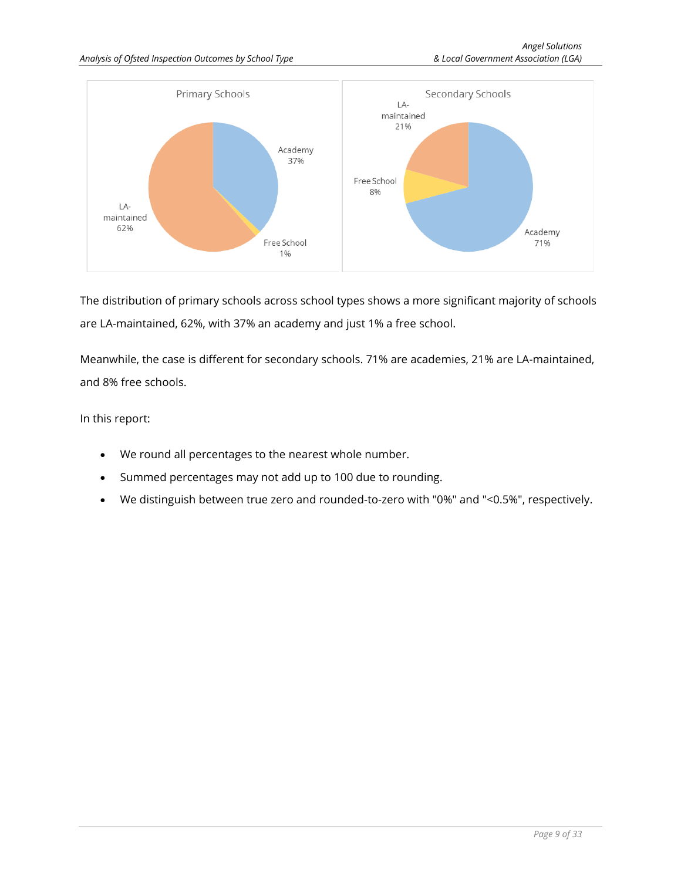

The distribution of primary schools across school types shows a more significant majority of schools are LA-maintained, 62%, with 37% an academy and just 1% a free school.

Meanwhile, the case is different for secondary schools. 71% are academies, 21% are LA-maintained, and 8% free schools.

In this report:

- We round all percentages to the nearest whole number.
- Summed percentages may not add up to 100 due to rounding.
- We distinguish between true zero and rounded-to-zero with "0%" and "<0.5%", respectively.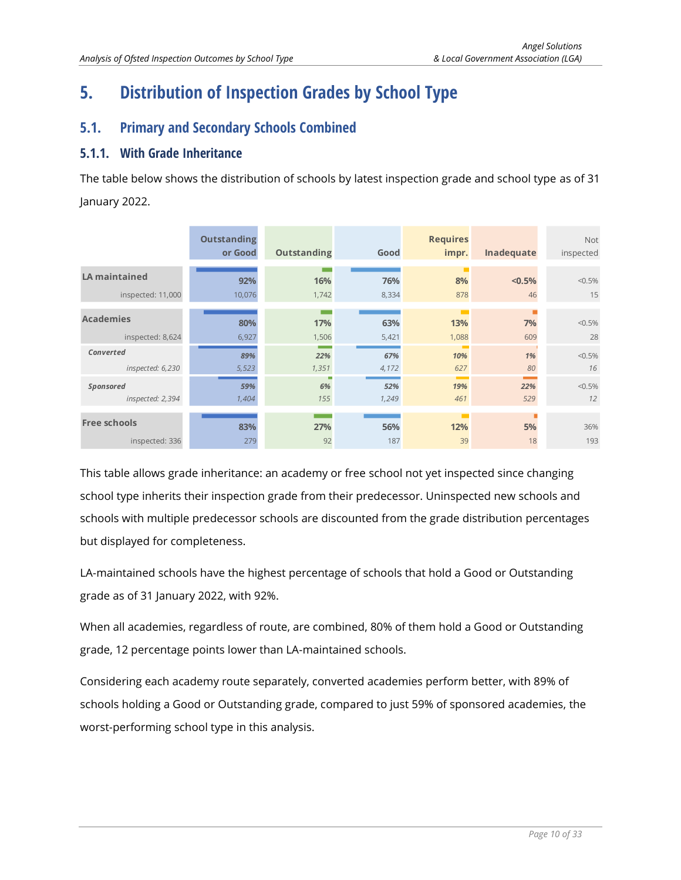# <span id="page-9-0"></span>**5. Distribution of Inspection Grades by School Type**

# <span id="page-9-1"></span>**5.1. Primary and Secondary Schools Combined**

## <span id="page-9-2"></span>**5.1.1. With Grade Inheritance**

The table below shows the distribution of schools by latest inspection grade and school type as of 31 January 2022.

|                                      | <b>Outstanding</b><br>or Good | <b>Outstanding</b> | Good         | <b>Requires</b><br>impr.    | Inadequate | <b>Not</b><br>inspected |
|--------------------------------------|-------------------------------|--------------------|--------------|-----------------------------|------------|-------------------------|
| <b>LA maintained</b>                 | 92%                           | 16%                | 76%          | п<br>8%                     | < 0.5%     | $< 0.5\%$               |
| inspected: 11,000                    | 10,076                        | 1,742              | 8,334        | 878                         | 46         | 15                      |
| <b>Academies</b>                     | 80%                           | 17%                | 63%          | <b>The Co</b><br>13%        | 7%         | $< 0.5\%$               |
| inspected: 8,624                     | 6,927                         | 1,506              | 5,421        | 1,088                       | 609        | 28                      |
| Converted<br>inspected: 6,230        | 89%<br>5,523                  | 22%<br>1,351       | 67%<br>4,172 | <b>The Co</b><br>10%<br>627 | 1%<br>80   | $< 0.5\%$<br>16         |
| <b>Sponsored</b><br>inspected: 2,394 | 59%<br>1,404                  | 6%<br>155          | 52%<br>1,249 | 19%<br>461                  | 22%<br>529 | $< 0.5\%$<br>12         |
| <b>Free schools</b>                  | 83%                           | 27%                | 56%          | 12%                         | 5%         | 36%                     |
| inspected: 336                       | 279                           | 92                 | 187          | 39                          | 18         | 193                     |

This table allows grade inheritance: an academy or free school not yet inspected since changing school type inherits their inspection grade from their predecessor. Uninspected new schools and schools with multiple predecessor schools are discounted from the grade distribution percentages but displayed for completeness.

LA-maintained schools have the highest percentage of schools that hold a Good or Outstanding grade as of 31 January 2022, with 92%.

When all academies, regardless of route, are combined, 80% of them hold a Good or Outstanding grade, 12 percentage points lower than LA-maintained schools.

Considering each academy route separately, converted academies perform better, with 89% of schools holding a Good or Outstanding grade, compared to just 59% of sponsored academies, the worst-performing school type in this analysis.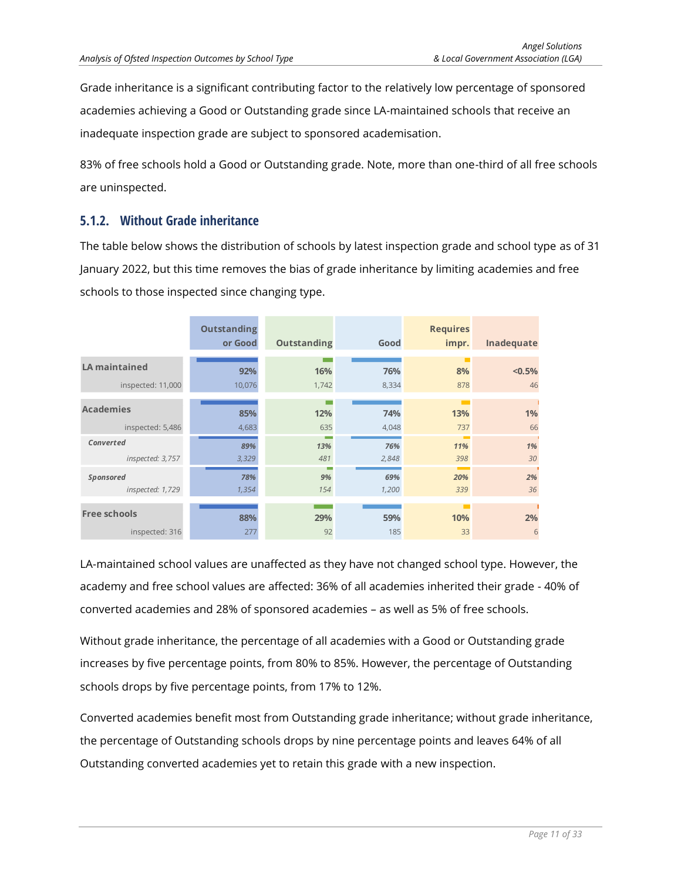Grade inheritance is a significant contributing factor to the relatively low percentage of sponsored academies achieving a Good or Outstanding grade since LA-maintained schools that receive an inadequate inspection grade are subject to sponsored academisation.

83% of free schools hold a Good or Outstanding grade. Note, more than one-third of all free schools are uninspected.

#### <span id="page-10-0"></span>**5.1.2. Without Grade inheritance**

The table below shows the distribution of schools by latest inspection grade and school type as of 31 January 2022, but this time removes the bias of grade inheritance by limiting academies and free schools to those inspected since changing type.

|                                      | <b>Outstanding</b><br>or Good | Outstanding | Good         | <b>Requires</b><br>impr. | Inadequate |
|--------------------------------------|-------------------------------|-------------|--------------|--------------------------|------------|
| <b>LA maintained</b>                 | 92%                           | 16%         | 76%          | 8%                       | $< 0.5\%$  |
| inspected: 11,000                    | 10,076                        | 1,742       | 8,334        | 878                      | 46         |
| <b>Academies</b>                     | 85%                           | 12%         | 74%          | 13%                      | 1%         |
| inspected: 5,486                     | 4,683                         | 635         | 4,048        | 737                      | 66         |
| Converted<br>inspected: 3,757        | 89%<br>3,329                  | 13%<br>481  | 76%<br>2,848 | 11%<br>398               | 1%<br>30   |
| <b>Sponsored</b><br>inspected: 1,729 | 78%<br>1,354                  | 9%<br>154   | 69%<br>1,200 | 20%<br>339               | 2%<br>36   |
| <b>Free schools</b>                  | 88%                           | 29%         | 59%          | 10%                      | 2%         |
| inspected: 316                       | 277                           | 92          | 185          | 33                       | 6          |

LA-maintained school values are unaffected as they have not changed school type. However, the academy and free school values are affected: 36% of all academies inherited their grade - 40% of converted academies and 28% of sponsored academies – as well as 5% of free schools.

Without grade inheritance, the percentage of all academies with a Good or Outstanding grade increases by five percentage points, from 80% to 85%. However, the percentage of Outstanding schools drops by five percentage points, from 17% to 12%.

Converted academies benefit most from Outstanding grade inheritance; without grade inheritance, the percentage of Outstanding schools drops by nine percentage points and leaves 64% of all Outstanding converted academies yet to retain this grade with a new inspection.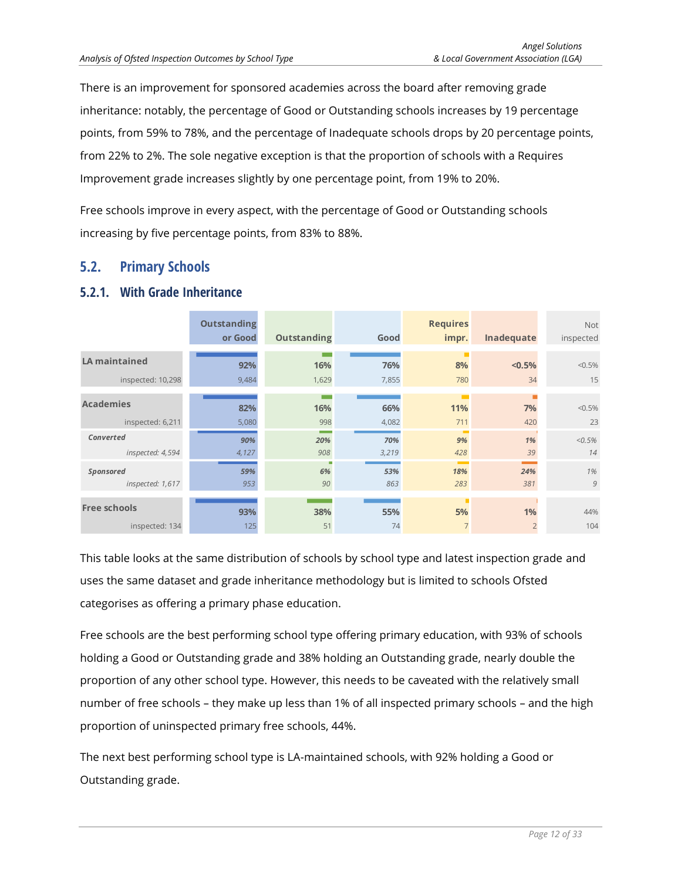There is an improvement for sponsored academies across the board after removing grade inheritance: notably, the percentage of Good or Outstanding schools increases by 19 percentage points, from 59% to 78%, and the percentage of Inadequate schools drops by 20 percentage points, from 22% to 2%. The sole negative exception is that the proportion of schools with a Requires Improvement grade increases slightly by one percentage point, from 19% to 20%.

Free schools improve in every aspect, with the percentage of Good or Outstanding schools increasing by five percentage points, from 83% to 88%.

#### <span id="page-11-0"></span>**5.2. Primary Schools**

#### <span id="page-11-1"></span>**5.2.1. With Grade Inheritance**

|                                       | <b>Outstanding</b><br>or Good | <b>Outstanding</b> | Good         | <b>Requires</b><br>impr. | Inadequate           | <b>Not</b><br>inspected |
|---------------------------------------|-------------------------------|--------------------|--------------|--------------------------|----------------------|-------------------------|
| <b>LA maintained</b>                  | 92%                           | 16%                | 76%          | 8%                       | $< 0.5\%$            | $< 0.5\%$               |
| inspected: 10,298                     | 9,484                         | 1,629              | 7,855        | 780                      | 34                   | 15                      |
| <b>Academies</b>                      | 82%                           | 16%                | 66%          | 11%                      | 7%                   | $< 0.5\%$               |
| inspected: 6,211                      | 5,080                         | 998                | 4,082        | 711                      | 420                  | 23                      |
| Converted<br>inspected: 4,594         | 90%<br>4,127                  | 20%<br>908         | 70%<br>3,219 | 9%<br>428                | 1%<br>39             | $< 0.5\%$<br>14         |
| Sponsored<br>inspected: 1,617         | 59%<br>953                    | 6%<br>90           | 53%<br>863   | 18%<br>283               | 24%<br>381           | 1%<br>9                 |
| <b>Free schools</b><br>inspected: 134 | 93%<br>125                    | 38%<br>51          | 55%<br>74    | 5%<br>$\overline{7}$     | 1%<br>$\overline{2}$ | 44%<br>104              |

This table looks at the same distribution of schools by school type and latest inspection grade and uses the same dataset and grade inheritance methodology but is limited to schools Ofsted categorises as offering a primary phase education.

Free schools are the best performing school type offering primary education, with 93% of schools holding a Good or Outstanding grade and 38% holding an Outstanding grade, nearly double the proportion of any other school type. However, this needs to be caveated with the relatively small number of free schools – they make up less than 1% of all inspected primary schools – and the high proportion of uninspected primary free schools, 44%.

The next best performing school type is LA-maintained schools, with 92% holding a Good or Outstanding grade.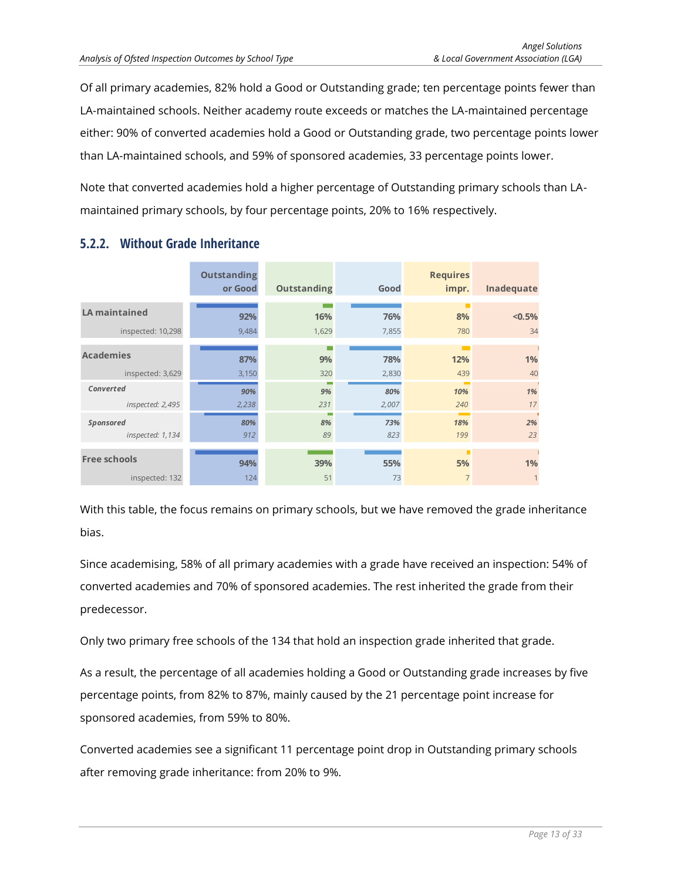Of all primary academies, 82% hold a Good or Outstanding grade; ten percentage points fewer than LA-maintained schools. Neither academy route exceeds or matches the LA-maintained percentage either: 90% of converted academies hold a Good or Outstanding grade, two percentage points lower than LA-maintained schools, and 59% of sponsored academies, 33 percentage points lower.

Note that converted academies hold a higher percentage of Outstanding primary schools than LAmaintained primary schools, by four percentage points, 20% to 16% respectively.

|                                       | <b>Outstanding</b><br>or Good | Outstanding   | Good         | <b>Requires</b><br>impr. | Inadequate         |
|---------------------------------------|-------------------------------|---------------|--------------|--------------------------|--------------------|
| <b>LA maintained</b>                  | 92%                           | 16%           | 76%          | 8%                       | < 0.5%             |
| inspected: 10,298                     | 9,484                         | 1,629         | 7,855        | 780                      | 34                 |
| <b>Academies</b>                      | 87%                           | m.<br>9%      | 78%          | 12%                      | 1%                 |
| inspected: 3,629                      | 3,150                         | 320           | 2,830        | 439                      | 40                 |
| Converted<br>inspected: 2,495         | 90%<br>2,238                  | 9%<br>231     | 80%<br>2,007 | 10%<br>240               | 1%<br>17           |
| <b>Sponsored</b><br>inspected: 1,134  | 80%<br>912                    | ۳<br>8%<br>89 | 73%<br>823   | 18%<br>199               | 2%<br>23           |
| <b>Free schools</b><br>inspected: 132 | 94%<br>124                    | 39%<br>51     | 55%<br>73    | 5%<br>7                  | 1%<br>$\mathbf{1}$ |

# <span id="page-12-0"></span>**5.2.2. Without Grade Inheritance**

With this table, the focus remains on primary schools, but we have removed the grade inheritance bias.

Since academising, 58% of all primary academies with a grade have received an inspection: 54% of converted academies and 70% of sponsored academies. The rest inherited the grade from their predecessor.

Only two primary free schools of the 134 that hold an inspection grade inherited that grade.

As a result, the percentage of all academies holding a Good or Outstanding grade increases by five percentage points, from 82% to 87%, mainly caused by the 21 percentage point increase for sponsored academies, from 59% to 80%.

Converted academies see a significant 11 percentage point drop in Outstanding primary schools after removing grade inheritance: from 20% to 9%.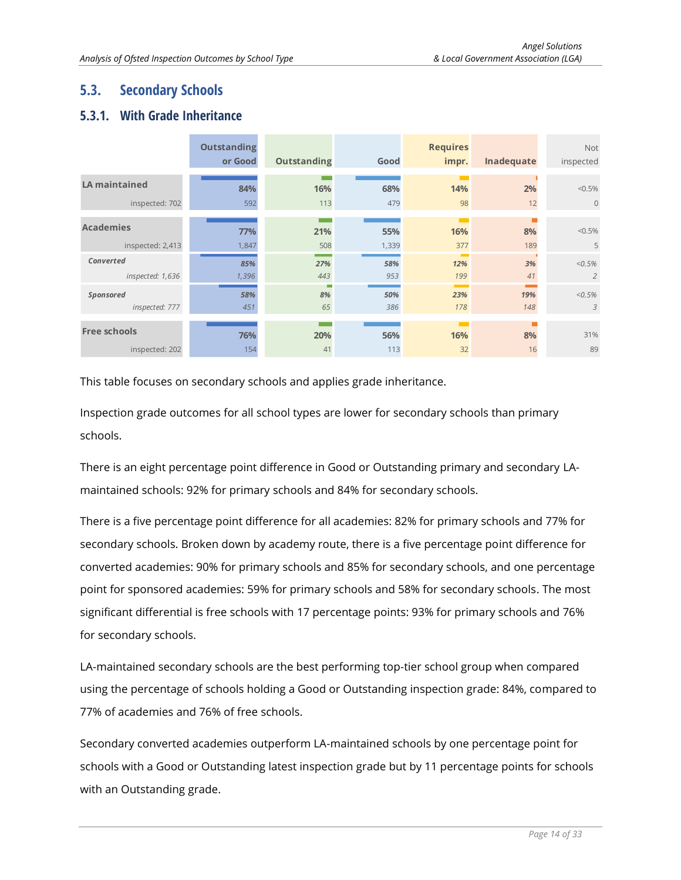# <span id="page-13-0"></span>**5.3. Secondary Schools**

## <span id="page-13-1"></span>**5.3.1. With Grade Inheritance**

|                             | <b>Outstanding</b><br>or Good | <b>Outstanding</b> | Good       | <b>Requires</b><br>impr. | Inadequate | <b>Not</b><br>inspected |
|-----------------------------|-------------------------------|--------------------|------------|--------------------------|------------|-------------------------|
| <b>LA maintained</b>        | 84%                           | 16%                | 68%        | 14%                      | 2%         | $< 0.5\%$               |
| inspected: 702              | 592                           | 113                | 479        | 98                       | 12         | $\overline{0}$          |
| <b>Academies</b>            | 77%                           | 21%                | 55%        | 16%                      | 8%         | $< 0.5\%$               |
| inspected: 2,413            | 1,847                         | 508                | 1,339      | 377                      | 189        | 5                       |
| Converted                   | 85%                           | 27%                | 58%        | 12%                      | 3%         | $< 0.5\%$               |
| inspected: 1,636            | 1,396                         | 443                | 953        | 199                      | 41         | $\overline{2}$          |
| Sponsored<br>inspected: 777 | 58%<br>451                    | г<br>8%<br>65      | 50%<br>386 | 23%<br>178               | 19%<br>148 | $< 0.5\%$<br>3          |
| <b>Free schools</b>         | 76%                           | 20%                | 56%        | 16%                      | 8%         | 31%                     |
| inspected: 202              | 154                           | 41                 | 113        | 32                       | 16         | 89                      |

This table focuses on secondary schools and applies grade inheritance.

Inspection grade outcomes for all school types are lower for secondary schools than primary schools.

There is an eight percentage point difference in Good or Outstanding primary and secondary LAmaintained schools: 92% for primary schools and 84% for secondary schools.

There is a five percentage point difference for all academies: 82% for primary schools and 77% for secondary schools. Broken down by academy route, there is a five percentage point difference for converted academies: 90% for primary schools and 85% for secondary schools, and one percentage point for sponsored academies: 59% for primary schools and 58% for secondary schools. The most significant differential is free schools with 17 percentage points: 93% for primary schools and 76% for secondary schools.

LA-maintained secondary schools are the best performing top-tier school group when compared using the percentage of schools holding a Good or Outstanding inspection grade: 84%, compared to 77% of academies and 76% of free schools.

Secondary converted academies outperform LA-maintained schools by one percentage point for schools with a Good or Outstanding latest inspection grade but by 11 percentage points for schools with an Outstanding grade.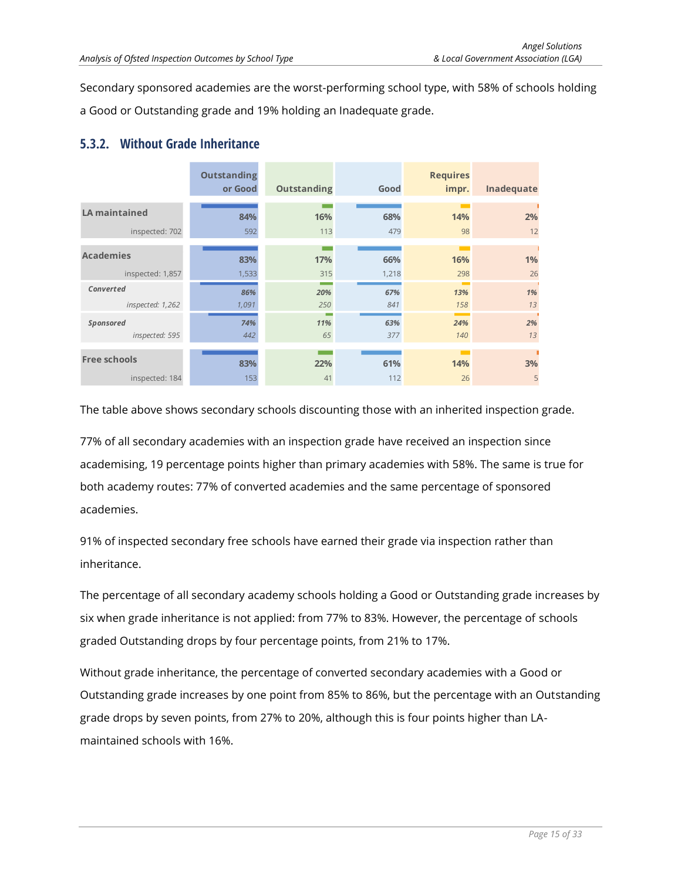Secondary sponsored academies are the worst-performing school type, with 58% of schools holding a Good or Outstanding grade and 19% holding an Inadequate grade.

#### <span id="page-14-0"></span>**5.3.2. Without Grade Inheritance**

|                                    | <b>Outstanding</b><br>or Good | <b>Outstanding</b>                          | Good       | <b>Requires</b><br>impr. | Inadequate |
|------------------------------------|-------------------------------|---------------------------------------------|------------|--------------------------|------------|
| <b>LA maintained</b>               | 84%                           | 16%                                         | 68%        | 14%                      | 2%         |
| inspected: 702                     | 592                           | 113                                         | 479        | 98                       | 12         |
| <b>Academies</b>                   | 83%                           | 17%                                         | 66%        | 16%                      | 1%         |
| inspected: 1,857                   | 1,533                         | 315                                         | 1,218      | 298                      | 26         |
| Converted<br>inspected: 1,262      | 86%<br>1,091                  | <b>The Contract of Street</b><br>20%<br>250 | 67%<br>841 | 13%<br>158               | 1%<br>13   |
| <b>Sponsored</b><br>inspected: 595 | 74%<br>442                    | 11%<br>65                                   | 63%<br>377 | 24%<br>140               | 2%<br>13   |
| <b>Free schools</b>                | 83%                           | 22%                                         | 61%        | 14%                      | 3%         |
| inspected: 184                     | 153                           | 41                                          | 112        | 26                       | 5          |

The table above shows secondary schools discounting those with an inherited inspection grade.

77% of all secondary academies with an inspection grade have received an inspection since academising, 19 percentage points higher than primary academies with 58%. The same is true for both academy routes: 77% of converted academies and the same percentage of sponsored academies.

91% of inspected secondary free schools have earned their grade via inspection rather than inheritance.

The percentage of all secondary academy schools holding a Good or Outstanding grade increases by six when grade inheritance is not applied: from 77% to 83%. However, the percentage of schools graded Outstanding drops by four percentage points, from 21% to 17%.

Without grade inheritance, the percentage of converted secondary academies with a Good or Outstanding grade increases by one point from 85% to 86%, but the percentage with an Outstanding grade drops by seven points, from 27% to 20%, although this is four points higher than LAmaintained schools with 16%.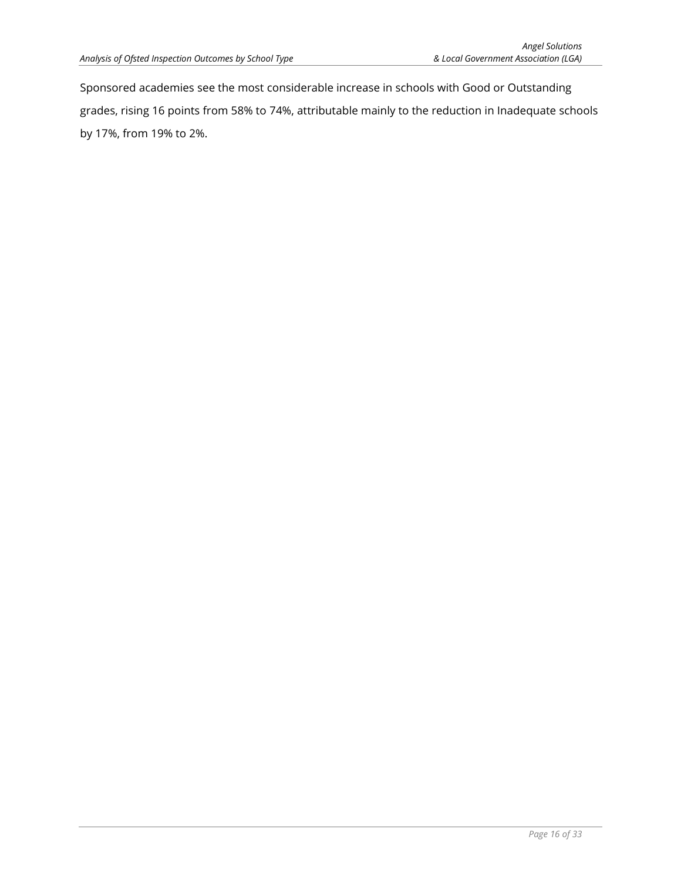Sponsored academies see the most considerable increase in schools with Good or Outstanding grades, rising 16 points from 58% to 74%, attributable mainly to the reduction in Inadequate schools by 17%, from 19% to 2%.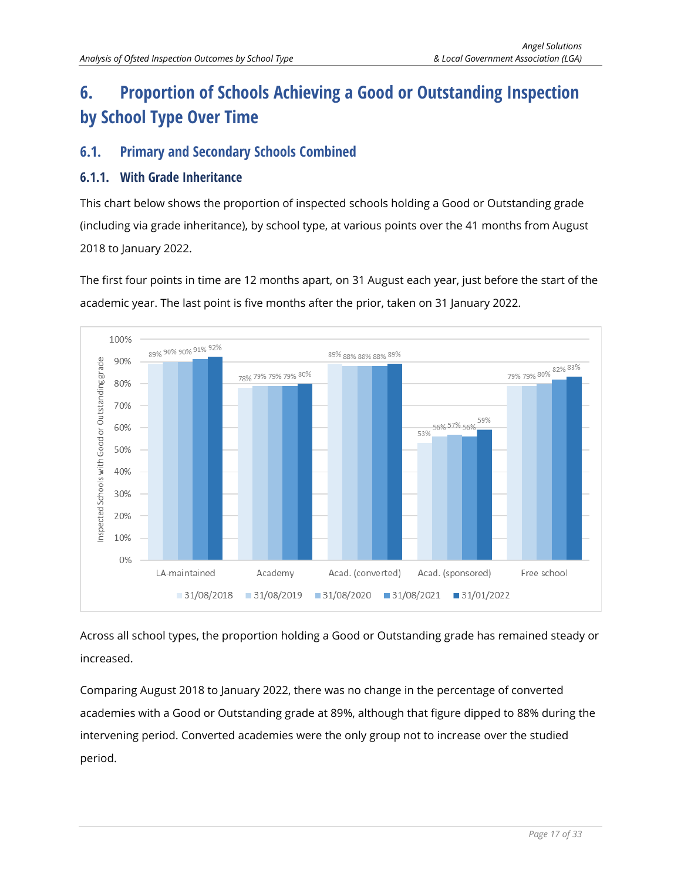# <span id="page-16-0"></span>**6. Proportion of Schools Achieving a Good or Outstanding Inspection by School Type Over Time**

# <span id="page-16-1"></span>**6.1. Primary and Secondary Schools Combined**

#### <span id="page-16-2"></span>**6.1.1. With Grade Inheritance**

This chart below shows the proportion of inspected schools holding a Good or Outstanding grade (including via grade inheritance), by school type, at various points over the 41 months from August 2018 to January 2022.

The first four points in time are 12 months apart, on 31 August each year, just before the start of the academic year. The last point is five months after the prior, taken on 31 January 2022.



Across all school types, the proportion holding a Good or Outstanding grade has remained steady or increased.

Comparing August 2018 to January 2022, there was no change in the percentage of converted academies with a Good or Outstanding grade at 89%, although that figure dipped to 88% during the intervening period. Converted academies were the only group not to increase over the studied period.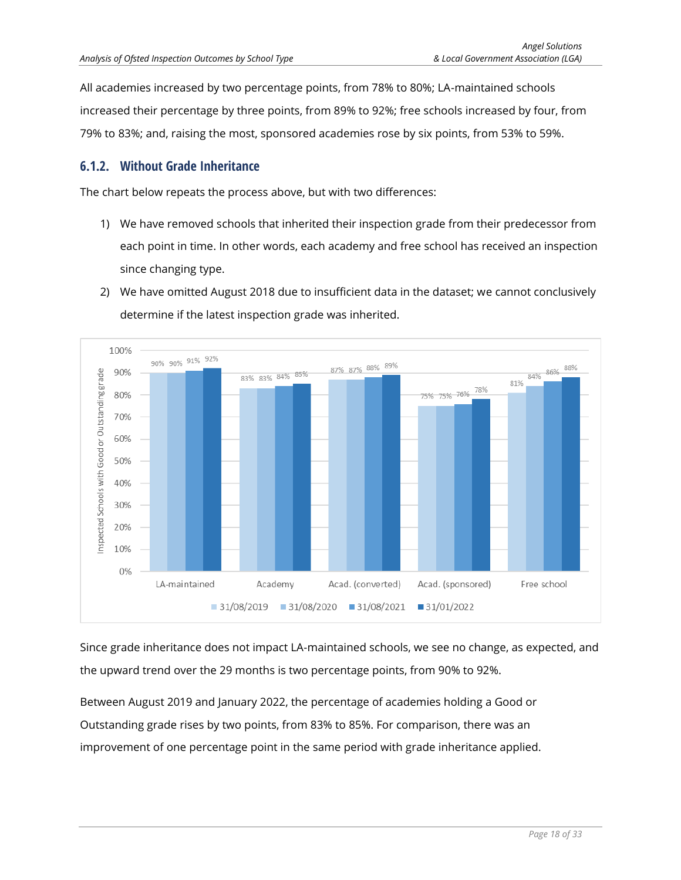All academies increased by two percentage points, from 78% to 80%; LA-maintained schools increased their percentage by three points, from 89% to 92%; free schools increased by four, from 79% to 83%; and, raising the most, sponsored academies rose by six points, from 53% to 59%.

#### <span id="page-17-0"></span>**6.1.2. Without Grade Inheritance**

The chart below repeats the process above, but with two differences:

- 1) We have removed schools that inherited their inspection grade from their predecessor from each point in time. In other words, each academy and free school has received an inspection since changing type.
- 2) We have omitted August 2018 due to insufficient data in the dataset; we cannot conclusively determine if the latest inspection grade was inherited.



Since grade inheritance does not impact LA-maintained schools, we see no change, as expected, and the upward trend over the 29 months is two percentage points, from 90% to 92%.

Between August 2019 and January 2022, the percentage of academies holding a Good or Outstanding grade rises by two points, from 83% to 85%. For comparison, there was an improvement of one percentage point in the same period with grade inheritance applied.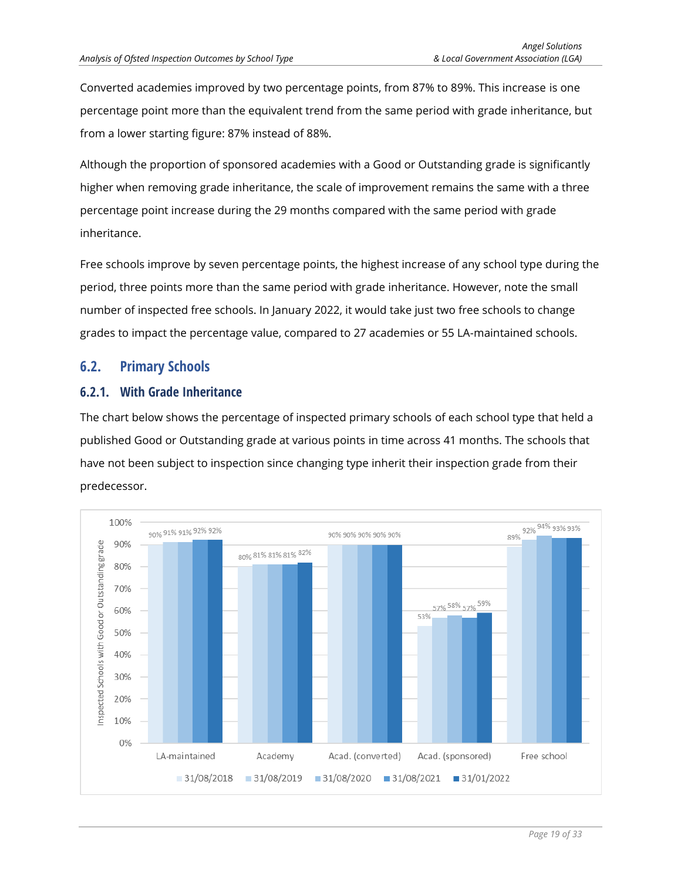Converted academies improved by two percentage points, from 87% to 89%. This increase is one percentage point more than the equivalent trend from the same period with grade inheritance, but from a lower starting figure: 87% instead of 88%.

Although the proportion of sponsored academies with a Good or Outstanding grade is significantly higher when removing grade inheritance, the scale of improvement remains the same with a three percentage point increase during the 29 months compared with the same period with grade inheritance.

Free schools improve by seven percentage points, the highest increase of any school type during the period, three points more than the same period with grade inheritance. However, note the small number of inspected free schools. In January 2022, it would take just two free schools to change grades to impact the percentage value, compared to 27 academies or 55 LA-maintained schools.

## <span id="page-18-0"></span>**6.2. Primary Schools**

#### <span id="page-18-1"></span>**6.2.1. With Grade Inheritance**

The chart below shows the percentage of inspected primary schools of each school type that held a published Good or Outstanding grade at various points in time across 41 months. The schools that have not been subject to inspection since changing type inherit their inspection grade from their predecessor.

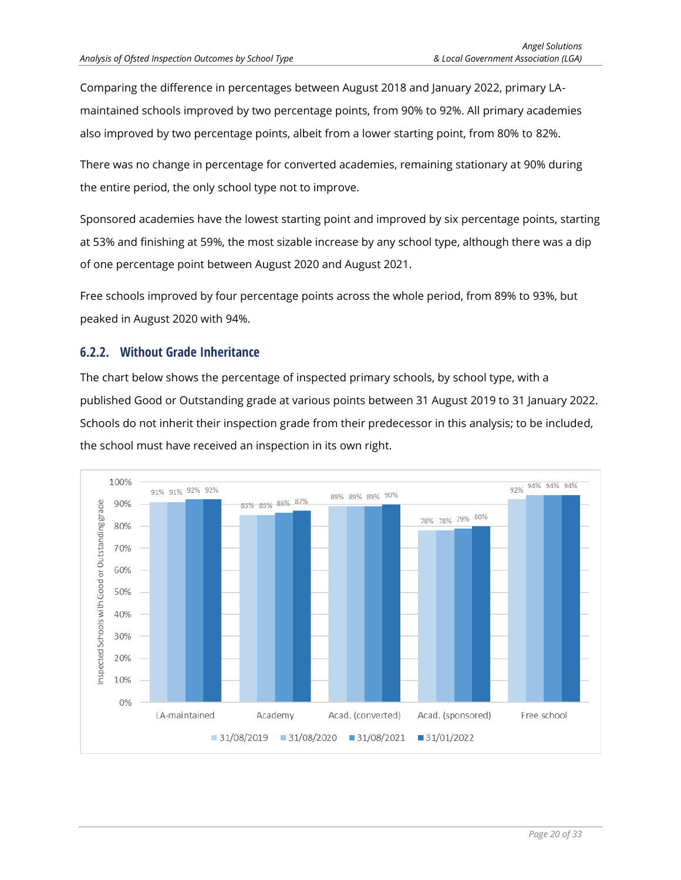Comparing the difference in percentages between August 2018 and January 2022, primary LAmaintained schools improved by two percentage points, from 90% to 92%. All primary academies also improved by two percentage points, albeit from a lower starting point, from 80% to 82%.

There was no change in percentage for converted academies, remaining stationary at 90% during the entire period, the only school type not to improve.

Sponsored academies have the lowest starting point and improved by six percentage points, starting at 53% and finishing at 59%, the most sizable increase by any school type, although there was a dip of one percentage point between August 2020 and August 2021.

Free schools improved by four percentage points across the whole period, from 89% to 93%, but peaked in August 2020 with 94%.

#### <span id="page-19-0"></span>**6.2.2. Without Grade Inheritance**

The chart below shows the percentage of inspected primary schools, by school type, with a published Good or Outstanding grade at various points between 31 August 2019 to 31 January 2022. Schools do not inherit their inspection grade from their predecessor in this analysis; to be included, the school must have received an inspection in its own right.

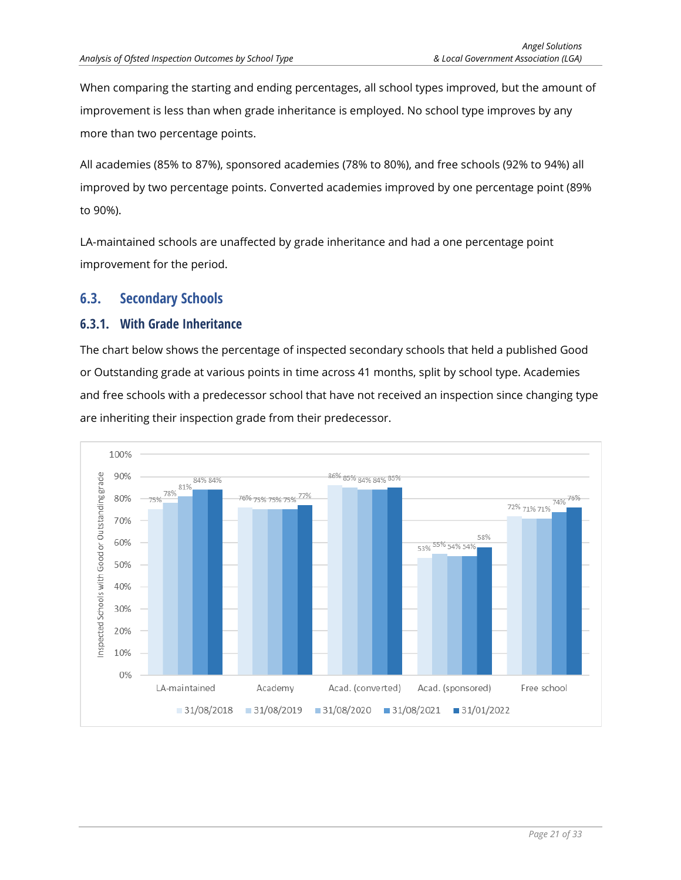When comparing the starting and ending percentages, all school types improved, but the amount of improvement is less than when grade inheritance is employed. No school type improves by any more than two percentage points.

All academies (85% to 87%), sponsored academies (78% to 80%), and free schools (92% to 94%) all improved by two percentage points. Converted academies improved by one percentage point (89% to 90%).

LA-maintained schools are unaffected by grade inheritance and had a one percentage point improvement for the period.

## <span id="page-20-0"></span>**6.3. Secondary Schools**

#### <span id="page-20-1"></span>**6.3.1. With Grade Inheritance**

The chart below shows the percentage of inspected secondary schools that held a published Good or Outstanding grade at various points in time across 41 months, split by school type. Academies and free schools with a predecessor school that have not received an inspection since changing type are inheriting their inspection grade from their predecessor.

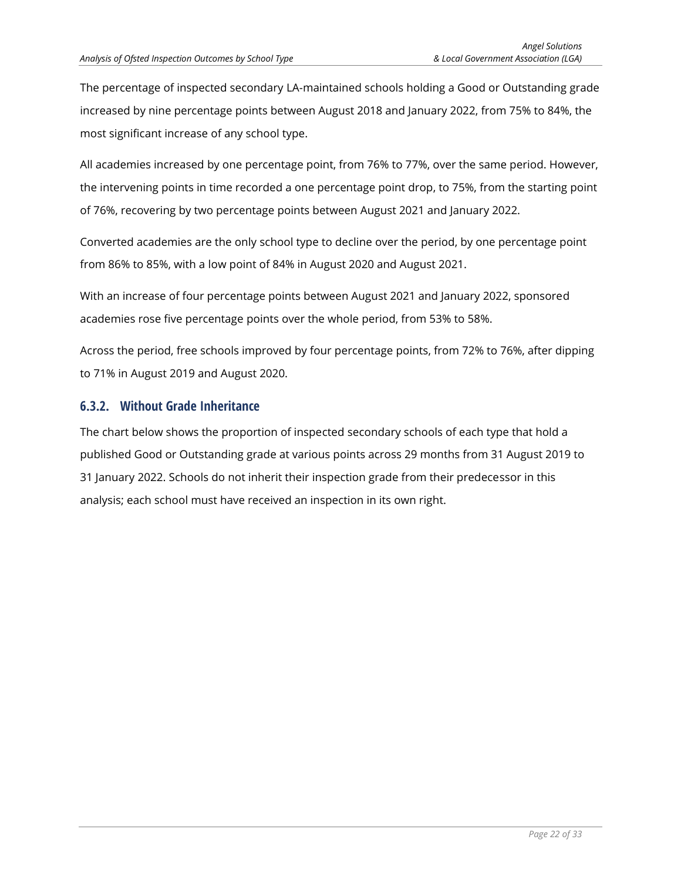The percentage of inspected secondary LA-maintained schools holding a Good or Outstanding grade increased by nine percentage points between August 2018 and January 2022, from 75% to 84%, the most significant increase of any school type.

All academies increased by one percentage point, from 76% to 77%, over the same period. However, the intervening points in time recorded a one percentage point drop, to 75%, from the starting point of 76%, recovering by two percentage points between August 2021 and January 2022.

Converted academies are the only school type to decline over the period, by one percentage point from 86% to 85%, with a low point of 84% in August 2020 and August 2021.

With an increase of four percentage points between August 2021 and January 2022, sponsored academies rose five percentage points over the whole period, from 53% to 58%.

Across the period, free schools improved by four percentage points, from 72% to 76%, after dipping to 71% in August 2019 and August 2020.

#### <span id="page-21-0"></span>**6.3.2. Without Grade Inheritance**

The chart below shows the proportion of inspected secondary schools of each type that hold a published Good or Outstanding grade at various points across 29 months from 31 August 2019 to 31 January 2022. Schools do not inherit their inspection grade from their predecessor in this analysis; each school must have received an inspection in its own right.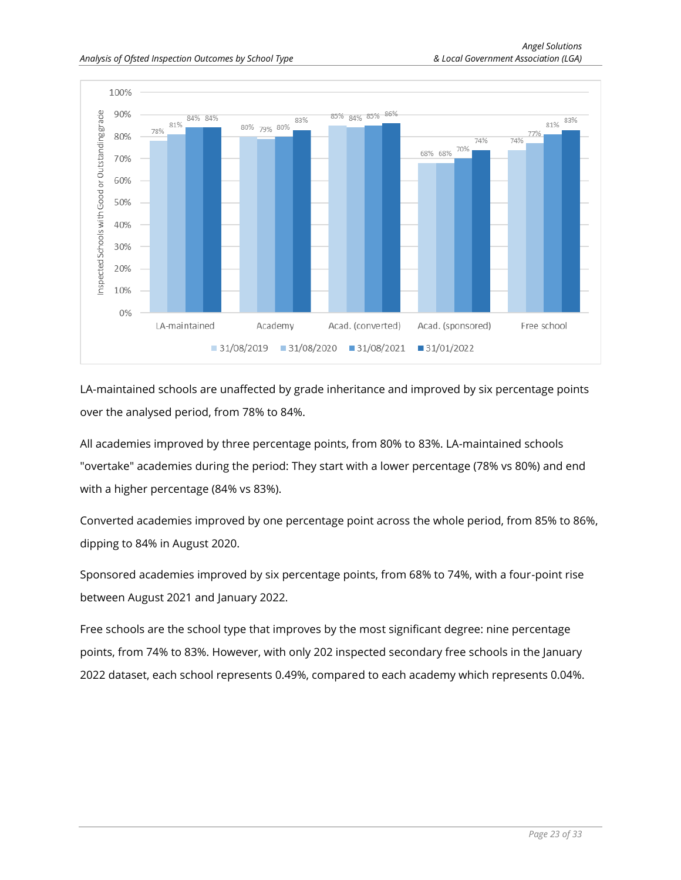

LA-maintained schools are unaffected by grade inheritance and improved by six percentage points over the analysed period, from 78% to 84%.

All academies improved by three percentage points, from 80% to 83%. LA-maintained schools "overtake" academies during the period: They start with a lower percentage (78% vs 80%) and end with a higher percentage (84% vs 83%).

Converted academies improved by one percentage point across the whole period, from 85% to 86%, dipping to 84% in August 2020.

Sponsored academies improved by six percentage points, from 68% to 74%, with a four-point rise between August 2021 and January 2022.

Free schools are the school type that improves by the most significant degree: nine percentage points, from 74% to 83%. However, with only 202 inspected secondary free schools in the January 2022 dataset, each school represents 0.49%, compared to each academy which represents 0.04%.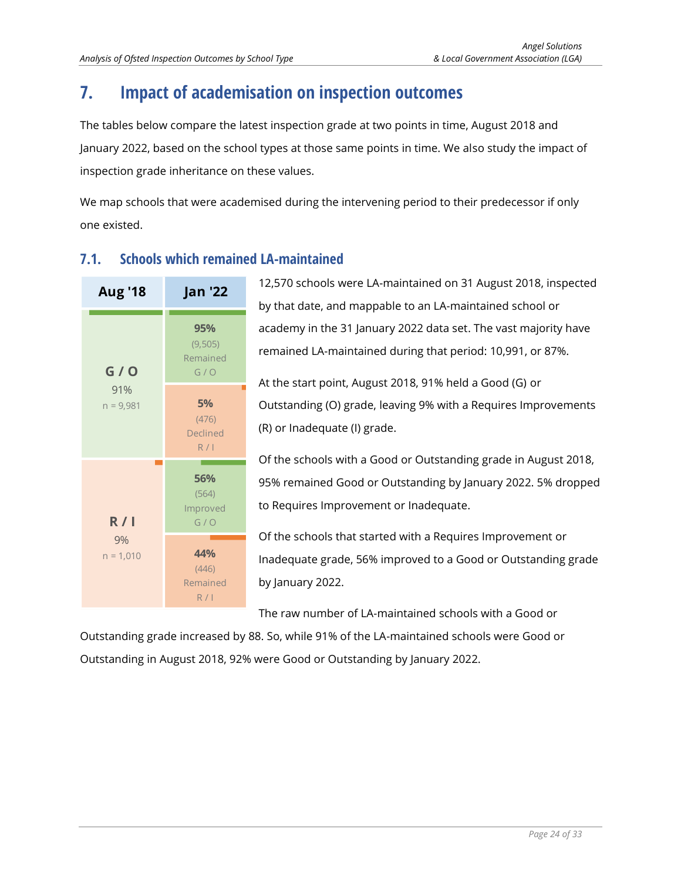# <span id="page-23-0"></span>**7. Impact of academisation on inspection outcomes**

The tables below compare the latest inspection grade at two points in time, August 2018 and January 2022, based on the school types at those same points in time. We also study the impact of inspection grade inheritance on these values.

We map schools that were academised during the intervening period to their predecessor if only one existed.



# <span id="page-23-1"></span>**7.1. Schools which remained LA-maintained**

The raw number of LA-maintained schools with a Good or

Outstanding grade increased by 88. So, while 91% of the LA-maintained schools were Good or Outstanding in August 2018, 92% were Good or Outstanding by January 2022.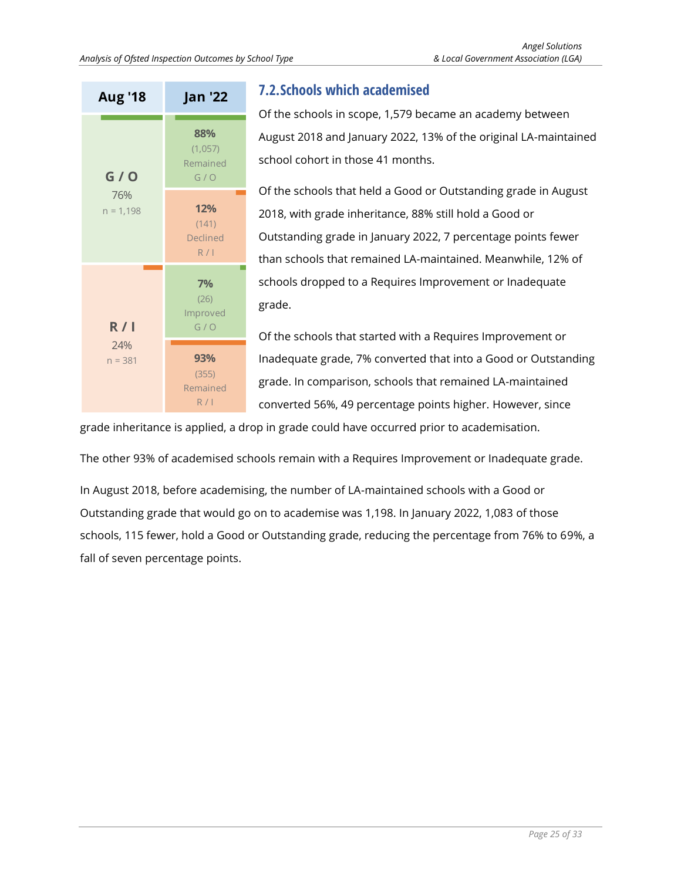

# <span id="page-24-0"></span>**7.2.Schools which academised**

Of the schools in scope, 1,579 became an academy between August 2018 and January 2022, 13% of the original LA-maintained school cohort in those 41 months.

Of the schools that held a Good or Outstanding grade in August 2018, with grade inheritance, 88% still hold a Good or Outstanding grade in January 2022, 7 percentage points fewer than schools that remained LA-maintained. Meanwhile, 12% of schools dropped to a Requires Improvement or Inadequate grade.

Of the schools that started with a Requires Improvement or Inadequate grade, 7% converted that into a Good or Outstanding grade. In comparison, schools that remained LA-maintained converted 56%, 49 percentage points higher. However, since

grade inheritance is applied, a drop in grade could have occurred prior to academisation.

The other 93% of academised schools remain with a Requires Improvement or Inadequate grade.

In August 2018, before academising, the number of LA-maintained schools with a Good or Outstanding grade that would go on to academise was 1,198. In January 2022, 1,083 of those schools, 115 fewer, hold a Good or Outstanding grade, reducing the percentage from 76% to 69%, a fall of seven percentage points.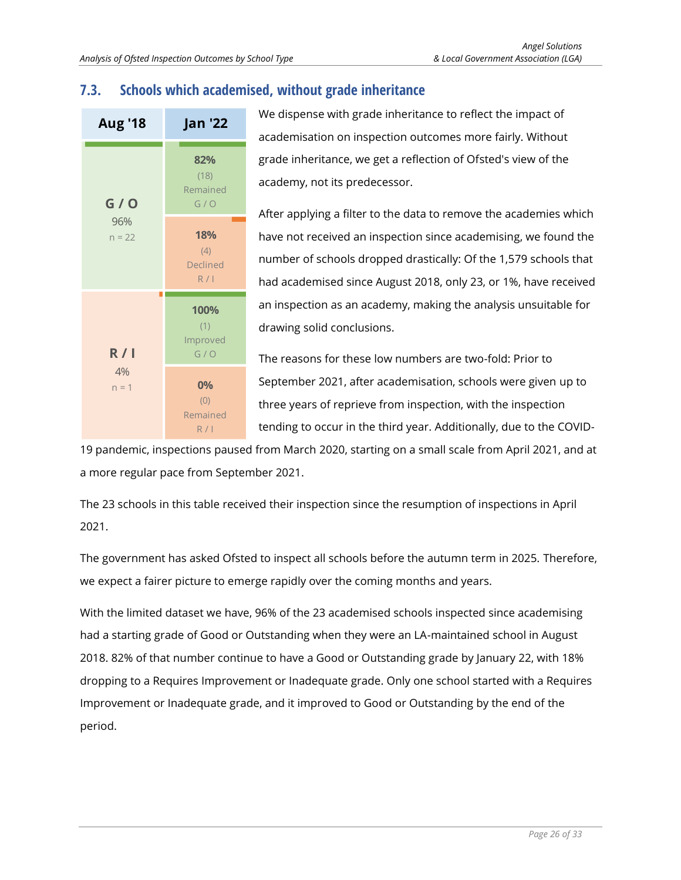# <span id="page-25-0"></span>**7.3. Schools which academised, without grade inheritance**



We dispense with grade inheritance to reflect the impact of academisation on inspection outcomes more fairly. Without grade inheritance, we get a reflection of Ofsted's view of the academy, not its predecessor.

After applying a filter to the data to remove the academies which have not received an inspection since academising, we found the number of schools dropped drastically: Of the 1,579 schools that had academised since August 2018, only 23, or 1%, have received an inspection as an academy, making the analysis unsuitable for drawing solid conclusions.

The reasons for these low numbers are two-fold: Prior to September 2021, after academisation, schools were given up to three years of reprieve from inspection, with the inspection tending to occur in the third year. Additionally, due to the COVID-

19 pandemic, inspections paused from March 2020, starting on a small scale from April 2021, and at a more regular pace from September 2021.

The 23 schools in this table received their inspection since the resumption of inspections in April 2021.

The government has asked Ofsted to inspect all schools before the autumn term in 2025. Therefore, we expect a fairer picture to emerge rapidly over the coming months and years.

With the limited dataset we have, 96% of the 23 academised schools inspected since academising had a starting grade of Good or Outstanding when they were an LA-maintained school in August 2018. 82% of that number continue to have a Good or Outstanding grade by January 22, with 18% dropping to a Requires Improvement or Inadequate grade. Only one school started with a Requires Improvement or Inadequate grade, and it improved to Good or Outstanding by the end of the period.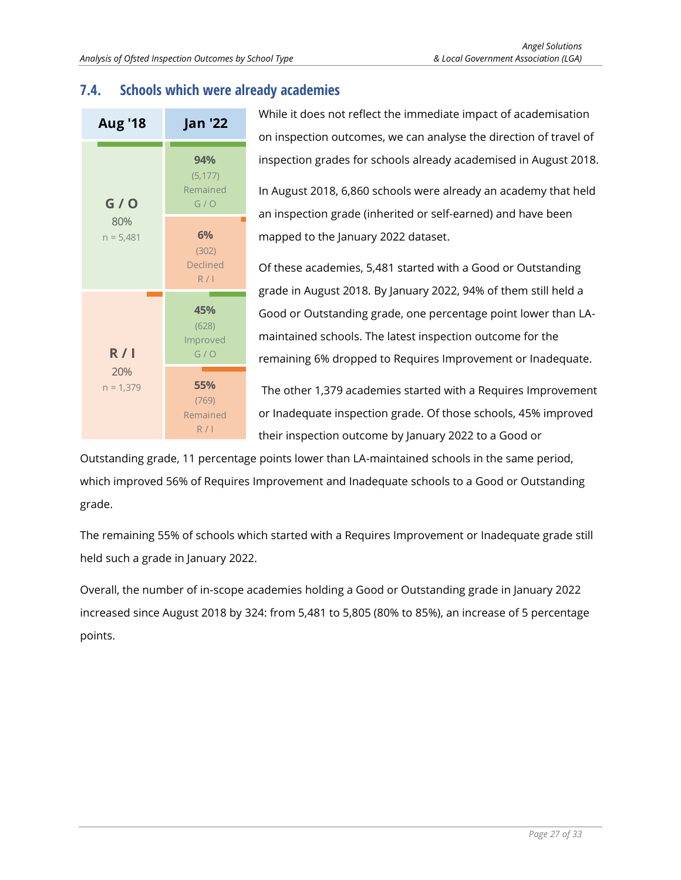# <span id="page-26-0"></span>**7.4. Schools which were already academies**



While it does not reflect the immediate impact of academisation on inspection outcomes, we can analyse the direction of travel of inspection grades for schools already academised in August 2018.

In August 2018, 6,860 schools were already an academy that held an inspection grade (inherited or self-earned) and have been mapped to the January 2022 dataset.

Of these academies, 5,481 started with a Good or Outstanding grade in August 2018. By January 2022, 94% of them still held a Good or Outstanding grade, one percentage point lower than LAmaintained schools. The latest inspection outcome for the remaining 6% dropped to Requires Improvement or Inadequate.

The other 1,379 academies started with a Requires Improvement or Inadequate inspection grade. Of those schools, 45% improved their inspection outcome by January 2022 to a Good or

Outstanding grade, 11 percentage points lower than LA-maintained schools in the same period, which improved 56% of Requires Improvement and Inadequate schools to a Good or Outstanding grade.

The remaining 55% of schools which started with a Requires Improvement or Inadequate grade still held such a grade in January 2022.

Overall, the number of in-scope academies holding a Good or Outstanding grade in January 2022 increased since August 2018 by 324: from 5,481 to 5,805 (80% to 85%), an increase of 5 percentage points.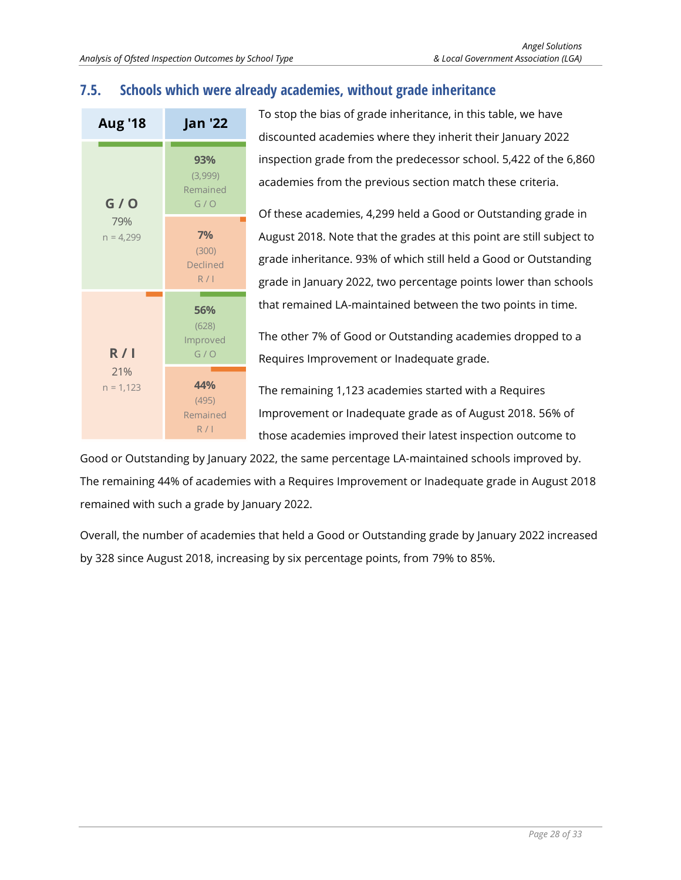## <span id="page-27-0"></span>**7.5. Schools which were already academies, without grade inheritance**



To stop the bias of grade inheritance, in this table, we have discounted academies where they inherit their January 2022 inspection grade from the predecessor school. 5,422 of the 6,860 academies from the previous section match these criteria.

Of these academies, 4,299 held a Good or Outstanding grade in August 2018. Note that the grades at this point are still subject to grade inheritance. 93% of which still held a Good or Outstanding grade in January 2022, two percentage points lower than schools that remained LA-maintained between the two points in time.

The other 7% of Good or Outstanding academies dropped to a Requires Improvement or Inadequate grade.

The remaining 1,123 academies started with a Requires Improvement or Inadequate grade as of August 2018. 56% of those academies improved their latest inspection outcome to

Good or Outstanding by January 2022, the same percentage LA-maintained schools improved by. The remaining 44% of academies with a Requires Improvement or Inadequate grade in August 2018 remained with such a grade by January 2022.

Overall, the number of academies that held a Good or Outstanding grade by January 2022 increased by 328 since August 2018, increasing by six percentage points, from 79% to 85%.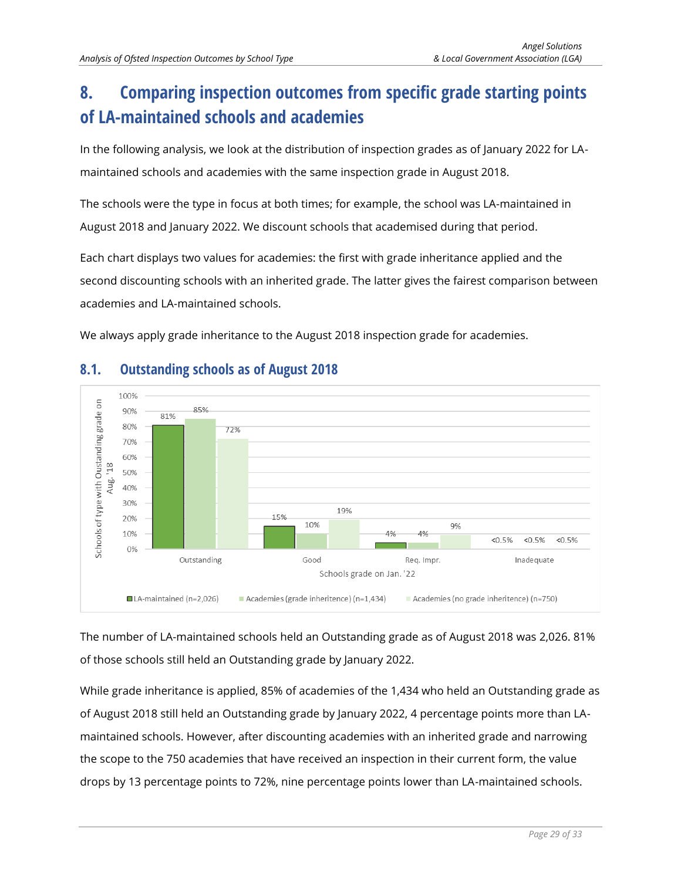# <span id="page-28-0"></span>**8. Comparing inspection outcomes from specific grade starting points of LA-maintained schools and academies**

In the following analysis, we look at the distribution of inspection grades as of January 2022 for LAmaintained schools and academies with the same inspection grade in August 2018.

The schools were the type in focus at both times; for example, the school was LA-maintained in August 2018 and January 2022. We discount schools that academised during that period.

Each chart displays two values for academies: the first with grade inheritance applied and the second discounting schools with an inherited grade. The latter gives the fairest comparison between academies and LA-maintained schools.

We always apply grade inheritance to the August 2018 inspection grade for academies.



# <span id="page-28-1"></span>**8.1. Outstanding schools as of August 2018**

The number of LA-maintained schools held an Outstanding grade as of August 2018 was 2,026. 81% of those schools still held an Outstanding grade by January 2022.

While grade inheritance is applied, 85% of academies of the 1,434 who held an Outstanding grade as of August 2018 still held an Outstanding grade by January 2022, 4 percentage points more than LAmaintained schools. However, after discounting academies with an inherited grade and narrowing the scope to the 750 academies that have received an inspection in their current form, the value drops by 13 percentage points to 72%, nine percentage points lower than LA-maintained schools.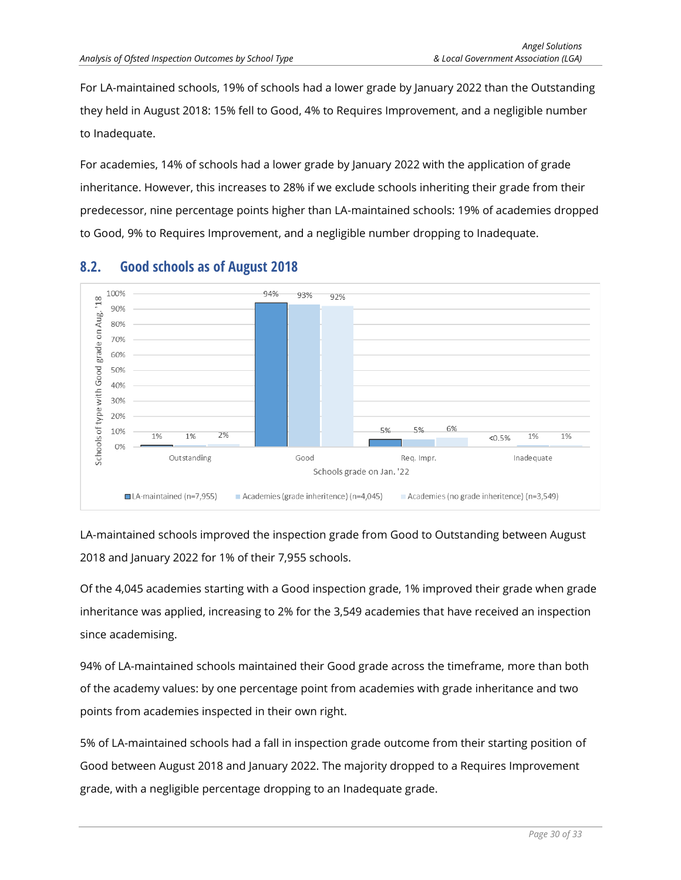For LA-maintained schools, 19% of schools had a lower grade by January 2022 than the Outstanding they held in August 2018: 15% fell to Good, 4% to Requires Improvement, and a negligible number to Inadequate.

For academies, 14% of schools had a lower grade by January 2022 with the application of grade inheritance. However, this increases to 28% if we exclude schools inheriting their grade from their predecessor, nine percentage points higher than LA-maintained schools: 19% of academies dropped to Good, 9% to Requires Improvement, and a negligible number dropping to Inadequate.



# <span id="page-29-0"></span>**8.2. Good schools as of August 2018**

LA-maintained schools improved the inspection grade from Good to Outstanding between August 2018 and January 2022 for 1% of their 7,955 schools.

Of the 4,045 academies starting with a Good inspection grade, 1% improved their grade when grade inheritance was applied, increasing to 2% for the 3,549 academies that have received an inspection since academising.

94% of LA-maintained schools maintained their Good grade across the timeframe, more than both of the academy values: by one percentage point from academies with grade inheritance and two points from academies inspected in their own right.

5% of LA-maintained schools had a fall in inspection grade outcome from their starting position of Good between August 2018 and January 2022. The majority dropped to a Requires Improvement grade, with a negligible percentage dropping to an Inadequate grade.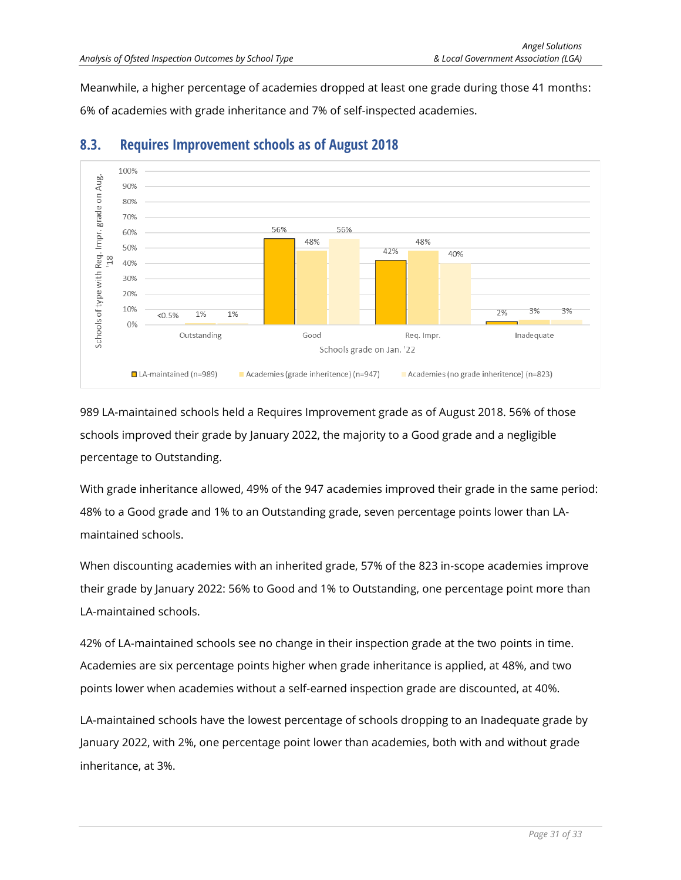Meanwhile, a higher percentage of academies dropped at least one grade during those 41 months: 6% of academies with grade inheritance and 7% of self-inspected academies.



#### <span id="page-30-0"></span>**8.3. Requires Improvement schools as of August 2018**

989 LA-maintained schools held a Requires Improvement grade as of August 2018. 56% of those schools improved their grade by January 2022, the majority to a Good grade and a negligible percentage to Outstanding.

With grade inheritance allowed, 49% of the 947 academies improved their grade in the same period: 48% to a Good grade and 1% to an Outstanding grade, seven percentage points lower than LAmaintained schools.

When discounting academies with an inherited grade, 57% of the 823 in-scope academies improve their grade by January 2022: 56% to Good and 1% to Outstanding, one percentage point more than LA-maintained schools.

42% of LA-maintained schools see no change in their inspection grade at the two points in time. Academies are six percentage points higher when grade inheritance is applied, at 48%, and two points lower when academies without a self-earned inspection grade are discounted, at 40%.

LA-maintained schools have the lowest percentage of schools dropping to an Inadequate grade by January 2022, with 2%, one percentage point lower than academies, both with and without grade inheritance, at 3%.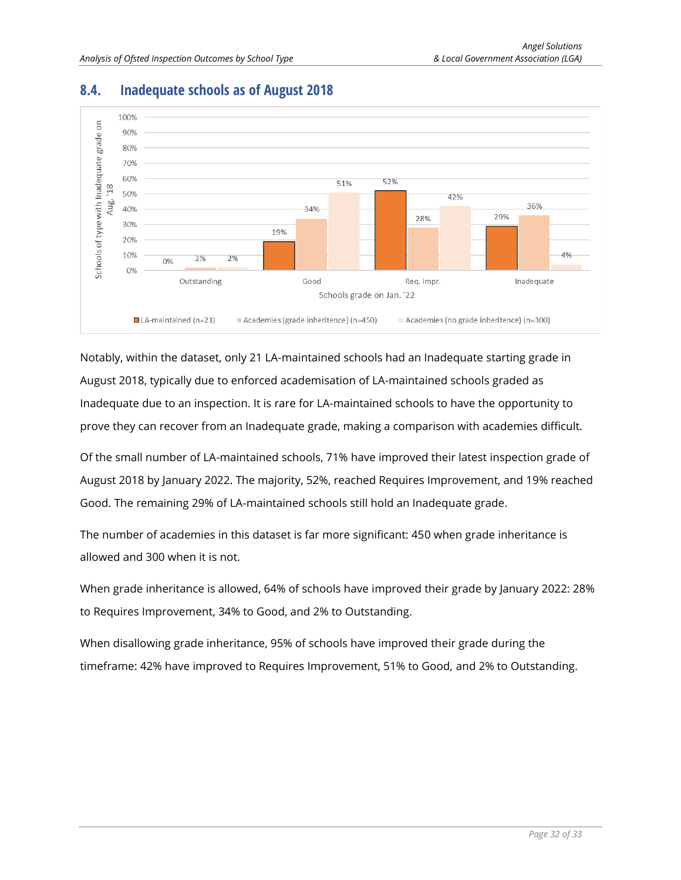

## <span id="page-31-0"></span>**8.4. Inadequate schools as of August 2018**

Notably, within the dataset, only 21 LA-maintained schools had an Inadequate starting grade in August 2018, typically due to enforced academisation of LA-maintained schools graded as Inadequate due to an inspection. It is rare for LA-maintained schools to have the opportunity to prove they can recover from an Inadequate grade, making a comparison with academies difficult.

Of the small number of LA-maintained schools, 71% have improved their latest inspection grade of August 2018 by January 2022. The majority, 52%, reached Requires Improvement, and 19% reached Good. The remaining 29% of LA-maintained schools still hold an Inadequate grade.

The number of academies in this dataset is far more significant: 450 when grade inheritance is allowed and 300 when it is not.

When grade inheritance is allowed, 64% of schools have improved their grade by January 2022: 28% to Requires Improvement, 34% to Good, and 2% to Outstanding.

When disallowing grade inheritance, 95% of schools have improved their grade during the timeframe: 42% have improved to Requires Improvement, 51% to Good, and 2% to Outstanding.